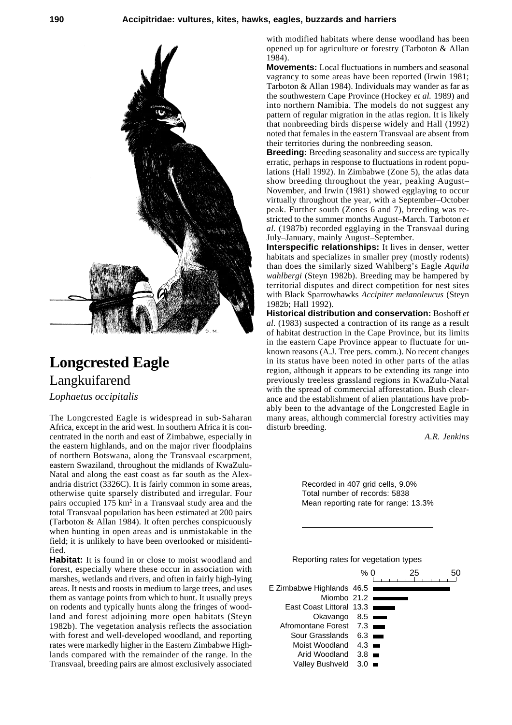## **190 Accipitridae: vultures, kites, hawks, eagles, buzzards and harriers**



## **Longcrested Eagle** Langkuifarend *Lophaetus occipitalis*

The Longcrested Eagle is widespread in sub-Saharan Africa, except in the arid west. In southern Africa it is concentrated in the north and east of Zimbabwe, especially in the eastern highlands, and on the major river floodplains of northern Botswana, along the Transvaal escarpment, eastern Swaziland, throughout the midlands of KwaZulu-Natal and along the east coast as far south as the Alexandria district (3326C). It is fairly common in some areas, otherwise quite sparsely distributed and irregular. Four pairs occupied 175 km<sup>2</sup> in a Transvaal study area and the total Transvaal population has been estimated at 200 pairs (Tarboton & Allan 1984). It often perches conspicuously when hunting in open areas and is unmistakable in the field; it is unlikely to have been overlooked or misidentified.

**Habitat:** It is found in or close to moist woodland and forest, especially where these occur in association with marshes, wetlands and rivers, and often in fairly high-lying areas. It nests and roosts in medium to large trees, and uses them as vantage points from which to hunt. It usually preys on rodents and typically hunts along the fringes of woodland and forest adjoining more open habitats (Steyn 1982b). The vegetation analysis reflects the association with forest and well-developed woodland, and reporting rates were markedly higher in the Eastern Zimbabwe Highlands compared with the remainder of the range. In the Transvaal, breeding pairs are almost exclusively associated with modified habitats where dense woodland has been opened up for agriculture or forestry (Tarboton & Allan 1984).

**Movements:** Local fluctuations in numbers and seasonal vagrancy to some areas have been reported (Irwin 1981; Tarboton & Allan 1984). Individuals may wander as far as the southwestern Cape Province (Hockey *et al.* 1989) and into northern Namibia. The models do not suggest any pattern of regular migration in the atlas region. It is likely that nonbreeding birds disperse widely and Hall (1992) noted that females in the eastern Transvaal are absent from their territories during the nonbreeding season.

**Breeding:** Breeding seasonality and success are typically erratic, perhaps in response to fluctuations in rodent populations (Hall 1992). In Zimbabwe (Zone 5), the atlas data show breeding throughout the year, peaking August– November, and Irwin (1981) showed egglaying to occur virtually throughout the year, with a September–October peak. Further south (Zones 6 and 7), breeding was restricted to the summer months August–March. Tarboton *et al.* (1987b) recorded egglaying in the Transvaal during July–January, mainly August–September.

**Interspecific relationships:** It lives in denser, wetter habitats and specializes in smaller prey (mostly rodents) than does the similarly sized Wahlberg's Eagle *Aquila wahlbergi* (Steyn 1982b). Breeding may be hampered by territorial disputes and direct competition for nest sites with Black Sparrowhawks *Accipiter melanoleucus* (Steyn 1982b; Hall 1992).

**Historical distribution and conservation:** Boshoff *et al.* (1983) suspected a contraction of its range as a result of habitat destruction in the Cape Province, but its limits in the eastern Cape Province appear to fluctuate for unknown reasons (A.J. Tree pers. comm.). No recent changes in its status have been noted in other parts of the atlas region, although it appears to be extending its range into previously treeless grassland regions in KwaZulu-Natal with the spread of commercial afforestation. Bush clearance and the establishment of alien plantations have probably been to the advantage of the Longcrested Eagle in many areas, although commercial forestry activities may disturb breeding.

*A.R. Jenkins*

Recorded in 407 grid cells, 9.0% Total number of records: 5838 Mean reporting rate for range: 13.3%